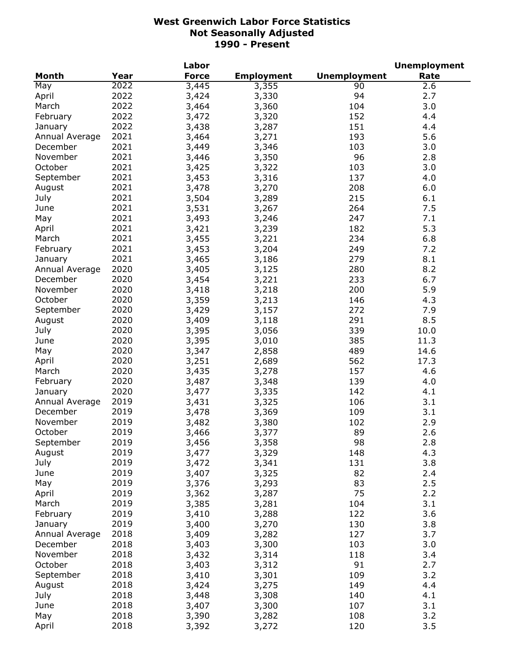|                |      | Labor        |                   |                     | <b>Unemployment</b> |
|----------------|------|--------------|-------------------|---------------------|---------------------|
| <b>Month</b>   | Year | <b>Force</b> | <b>Employment</b> | <b>Unemployment</b> | Rate                |
| May            | 2022 | 3,445        | 3,355             | 90                  | 2.6                 |
| April          | 2022 | 3,424        | 3,330             | 94                  | 2.7                 |
| March          | 2022 | 3,464        | 3,360             | 104                 | 3.0                 |
| February       | 2022 | 3,472        | 3,320             | 152                 | 4.4                 |
| January        | 2022 | 3,438        | 3,287             | 151                 | 4.4                 |
| Annual Average | 2021 | 3,464        | 3,271             | 193                 | 5.6                 |
| December       | 2021 | 3,449        | 3,346             | 103                 | 3.0                 |
| November       | 2021 | 3,446        | 3,350             | 96                  | 2.8                 |
| October        | 2021 | 3,425        | 3,322             | 103                 | 3.0                 |
| September      | 2021 | 3,453        | 3,316             | 137                 | 4.0                 |
| August         | 2021 | 3,478        | 3,270             | 208                 | 6.0                 |
| July           | 2021 | 3,504        | 3,289             | 215                 | 6.1                 |
| June           | 2021 | 3,531        | 3,267             | 264                 | 7.5                 |
| May            | 2021 | 3,493        | 3,246             | 247                 | 7.1                 |
| April          | 2021 | 3,421        | 3,239             | 182                 | 5.3                 |
| March          | 2021 | 3,455        | 3,221             | 234                 | 6.8                 |
| February       | 2021 | 3,453        |                   | 249                 | 7.2                 |
|                | 2021 |              | 3,204             | 279                 | 8.1                 |
| January        | 2020 | 3,465        | 3,186             |                     |                     |
| Annual Average |      | 3,405        | 3,125             | 280                 | 8.2                 |
| December       | 2020 | 3,454        | 3,221             | 233                 | 6.7                 |
| November       | 2020 | 3,418        | 3,218             | 200                 | 5.9                 |
| October        | 2020 | 3,359        | 3,213             | 146                 | 4.3                 |
| September      | 2020 | 3,429        | 3,157             | 272                 | 7.9                 |
| August         | 2020 | 3,409        | 3,118             | 291                 | 8.5                 |
| July           | 2020 | 3,395        | 3,056             | 339                 | 10.0                |
| June           | 2020 | 3,395        | 3,010             | 385                 | 11.3                |
| May            | 2020 | 3,347        | 2,858             | 489                 | 14.6                |
| April          | 2020 | 3,251        | 2,689             | 562                 | 17.3                |
| March          | 2020 | 3,435        | 3,278             | 157                 | 4.6                 |
| February       | 2020 | 3,487        | 3,348             | 139                 | 4.0                 |
| January        | 2020 | 3,477        | 3,335             | 142                 | 4.1                 |
| Annual Average | 2019 | 3,431        | 3,325             | 106                 | 3.1                 |
| December       | 2019 | 3,478        | 3,369             | 109                 | 3.1                 |
| November       | 2019 | 3,482        | 3,380             | 102                 | 2.9                 |
| October        | 2019 | 3,466        | 3,377             | 89                  | 2.6                 |
| September      | 2019 | 3,456        | 3,358             | 98                  | 2.8                 |
| August         | 2019 | 3,477        | 3,329             | 148                 | 4.3                 |
| July           | 2019 | 3,472        | 3,341             | 131                 | 3.8                 |
| June           | 2019 | 3,407        | 3,325             | 82                  | 2.4                 |
| May            | 2019 | 3,376        | 3,293             | 83                  | 2.5                 |
| April          | 2019 | 3,362        | 3,287             | 75                  | 2.2                 |
| March          | 2019 | 3,385        | 3,281             | 104                 | 3.1                 |
| February       | 2019 | 3,410        | 3,288             | 122                 | 3.6                 |
| January        | 2019 | 3,400        | 3,270             | 130                 | 3.8                 |
| Annual Average | 2018 | 3,409        | 3,282             | 127                 | 3.7                 |
| December       | 2018 | 3,403        | 3,300             | 103                 | 3.0                 |
| November       | 2018 | 3,432        | 3,314             | 118                 | 3.4                 |
| October        | 2018 | 3,403        | 3,312             | 91                  | 2.7                 |
| September      | 2018 | 3,410        | 3,301             | 109                 | 3.2                 |
| August         | 2018 | 3,424        | 3,275             | 149                 | 4.4                 |
| July           | 2018 | 3,448        | 3,308             | 140                 | 4.1                 |
| June           | 2018 | 3,407        | 3,300             | 107                 | 3.1                 |
| May            | 2018 | 3,390        | 3,282             | 108                 | 3.2                 |
| April          | 2018 | 3,392        | 3,272             | 120                 | 3.5                 |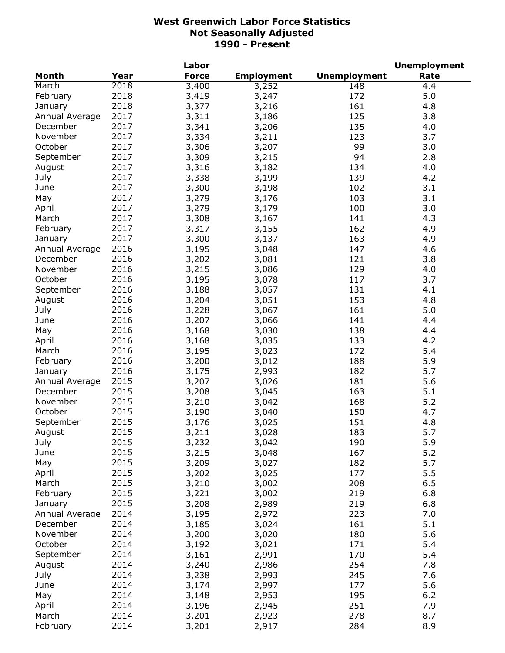|                |      | Labor        |                   |                     | <b>Unemployment</b> |
|----------------|------|--------------|-------------------|---------------------|---------------------|
| Month          | Year | <b>Force</b> | <b>Employment</b> | <b>Unemployment</b> | Rate                |
| March          | 2018 | 3,400        | 3,252             | 148                 | 4.4                 |
| February       | 2018 | 3,419        | 3,247             | 172                 | 5.0                 |
| January        | 2018 | 3,377        | 3,216             | 161                 | 4.8                 |
| Annual Average | 2017 | 3,311        | 3,186             | 125                 | 3.8                 |
| December       | 2017 | 3,341        | 3,206             | 135                 | 4.0                 |
| November       | 2017 | 3,334        | 3,211             | 123                 | 3.7                 |
| October        | 2017 | 3,306        | 3,207             | 99                  | 3.0                 |
| September      | 2017 | 3,309        | 3,215             | 94                  | 2.8                 |
| August         | 2017 | 3,316        | 3,182             | 134                 | 4.0                 |
| July           | 2017 | 3,338        | 3,199             | 139                 | 4.2                 |
| June           | 2017 | 3,300        |                   | 102                 | 3.1                 |
|                | 2017 |              | 3,198             |                     |                     |
| May            |      | 3,279        | 3,176             | 103                 | 3.1                 |
| April          | 2017 | 3,279        | 3,179             | 100                 | 3.0                 |
| March          | 2017 | 3,308        | 3,167             | 141                 | 4.3                 |
| February       | 2017 | 3,317        | 3,155             | 162                 | 4.9                 |
| January        | 2017 | 3,300        | 3,137             | 163                 | 4.9                 |
| Annual Average | 2016 | 3,195        | 3,048             | 147                 | 4.6                 |
| December       | 2016 | 3,202        | 3,081             | 121                 | 3.8                 |
| November       | 2016 | 3,215        | 3,086             | 129                 | 4.0                 |
| October        | 2016 | 3,195        | 3,078             | 117                 | 3.7                 |
| September      | 2016 | 3,188        | 3,057             | 131                 | 4.1                 |
| August         | 2016 | 3,204        | 3,051             | 153                 | 4.8                 |
| July           | 2016 | 3,228        | 3,067             | 161                 | 5.0                 |
| June           | 2016 | 3,207        | 3,066             | 141                 | 4.4                 |
| May            | 2016 | 3,168        | 3,030             | 138                 | 4.4                 |
| April          | 2016 | 3,168        | 3,035             | 133                 | 4.2                 |
| March          | 2016 | 3,195        | 3,023             | 172                 | 5.4                 |
| February       | 2016 | 3,200        | 3,012             | 188                 | 5.9                 |
| January        | 2016 | 3,175        | 2,993             | 182                 | 5.7                 |
| Annual Average | 2015 | 3,207        | 3,026             | 181                 | 5.6                 |
| December       | 2015 | 3,208        | 3,045             | 163                 | 5.1                 |
| November       | 2015 | 3,210        | 3,042             | 168                 | 5.2                 |
| October        | 2015 | 3,190        | 3,040             | 150                 | 4.7                 |
| September      | 2015 | 3,176        | 3,025             | 151                 | 4.8                 |
| August         | 2015 | 3,211        | 3,028             | 183                 | 5.7                 |
| July           | 2015 | 3,232        | 3,042             | 190                 | 5.9                 |
| June           | 2015 | 3,215        | 3,048             | 167                 | 5.2                 |
|                | 2015 |              |                   | 182                 | 5.7                 |
| May            |      | 3,209        | 3,027             |                     | 5.5                 |
| April          | 2015 | 3,202        | 3,025             | 177                 |                     |
| March          | 2015 | 3,210        | 3,002             | 208                 | 6.5                 |
| February       | 2015 | 3,221        | 3,002             | 219                 | 6.8                 |
| January        | 2015 | 3,208        | 2,989             | 219                 | 6.8                 |
| Annual Average | 2014 | 3,195        | 2,972             | 223                 | 7.0                 |
| December       | 2014 | 3,185        | 3,024             | 161                 | 5.1                 |
| November       | 2014 | 3,200        | 3,020             | 180                 | 5.6                 |
| October        | 2014 | 3,192        | 3,021             | 171                 | 5.4                 |
| September      | 2014 | 3,161        | 2,991             | 170                 | 5.4                 |
| August         | 2014 | 3,240        | 2,986             | 254                 | 7.8                 |
| July           | 2014 | 3,238        | 2,993             | 245                 | 7.6                 |
| June           | 2014 | 3,174        | 2,997             | 177                 | 5.6                 |
| May            | 2014 | 3,148        | 2,953             | 195                 | $6.2$               |
| April          | 2014 | 3,196        | 2,945             | 251                 | 7.9                 |
| March          | 2014 | 3,201        | 2,923             | 278                 | 8.7                 |
| February       | 2014 | 3,201        | 2,917             | 284                 | 8.9                 |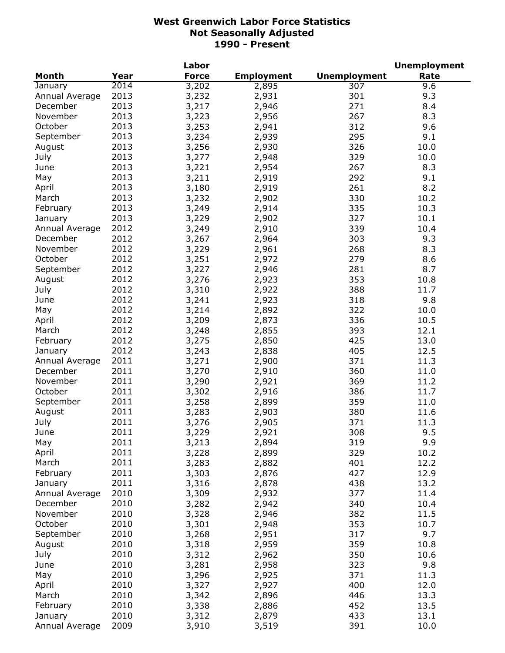|                |      | Labor        |                   |                     | <b>Unemployment</b> |
|----------------|------|--------------|-------------------|---------------------|---------------------|
| <b>Month</b>   | Year | <b>Force</b> | <b>Employment</b> | <b>Unemployment</b> | Rate                |
| January        | 2014 | 3,202        | 2,895             | 307                 | 9.6                 |
| Annual Average | 2013 | 3,232        | 2,931             | 301                 | 9.3                 |
| December       | 2013 | 3,217        | 2,946             | 271                 | 8.4                 |
| November       | 2013 | 3,223        | 2,956             | 267                 | 8.3                 |
| October        | 2013 | 3,253        | 2,941             | 312                 | 9.6                 |
| September      | 2013 | 3,234        | 2,939             | 295                 | 9.1                 |
| August         | 2013 | 3,256        | 2,930             | 326                 | 10.0                |
| July           | 2013 | 3,277        | 2,948             | 329                 | 10.0                |
| June           | 2013 | 3,221        | 2,954             | 267                 | 8.3                 |
| May            | 2013 | 3,211        | 2,919             | 292                 | 9.1                 |
| April          | 2013 | 3,180        | 2,919             | 261                 | 8.2                 |
| March          | 2013 | 3,232        | 2,902             | 330                 | 10.2                |
|                | 2013 |              |                   | 335                 | 10.3                |
| February       |      | 3,249        | 2,914             |                     |                     |
| January        | 2013 | 3,229        | 2,902             | 327                 | 10.1                |
| Annual Average | 2012 | 3,249        | 2,910             | 339                 | 10.4                |
| December       | 2012 | 3,267        | 2,964             | 303                 | 9.3                 |
| November       | 2012 | 3,229        | 2,961             | 268                 | 8.3                 |
| October        | 2012 | 3,251        | 2,972             | 279                 | 8.6                 |
| September      | 2012 | 3,227        | 2,946             | 281                 | 8.7                 |
| August         | 2012 | 3,276        | 2,923             | 353                 | 10.8                |
| July           | 2012 | 3,310        | 2,922             | 388                 | 11.7                |
| June           | 2012 | 3,241        | 2,923             | 318                 | 9.8                 |
| May            | 2012 | 3,214        | 2,892             | 322                 | 10.0                |
| April          | 2012 | 3,209        | 2,873             | 336                 | 10.5                |
| March          | 2012 | 3,248        | 2,855             | 393                 | 12.1                |
| February       | 2012 | 3,275        | 2,850             | 425                 | 13.0                |
| January        | 2012 | 3,243        | 2,838             | 405                 | 12.5                |
| Annual Average | 2011 | 3,271        | 2,900             | 371                 | 11.3                |
| December       | 2011 | 3,270        | 2,910             | 360                 | 11.0                |
| November       | 2011 | 3,290        | 2,921             | 369                 | 11.2                |
| October        | 2011 | 3,302        | 2,916             | 386                 | 11.7                |
| September      | 2011 | 3,258        | 2,899             | 359                 | 11.0                |
| August         | 2011 | 3,283        | 2,903             | 380                 | 11.6                |
| July           | 2011 | 3,276        | 2,905             | 371                 | 11.3                |
| June           | 2011 | 3,229        | 2,921             | 308                 | 9.5                 |
| May            | 2011 | 3,213        | 2,894             | 319                 | 9.9                 |
| April          | 2011 | 3,228        | 2,899             | 329                 | 10.2                |
| March          | 2011 | 3,283        | 2,882             | 401                 | 12.2                |
| February       | 2011 | 3,303        | 2,876             | 427                 | 12.9                |
| January        | 2011 | 3,316        | 2,878             | 438                 | 13.2                |
| Annual Average | 2010 | 3,309        | 2,932             | 377                 | 11.4                |
| December       | 2010 | 3,282        | 2,942             | 340                 | 10.4                |
| November       | 2010 | 3,328        | 2,946             | 382                 | 11.5                |
| October        | 2010 |              |                   | 353                 | 10.7                |
|                |      | 3,301        | 2,948             |                     |                     |
| September      | 2010 | 3,268        | 2,951             | 317                 | 9.7                 |
| August         | 2010 | 3,318        | 2,959             | 359                 | 10.8                |
| July           | 2010 | 3,312        | 2,962             | 350                 | 10.6                |
| June           | 2010 | 3,281        | 2,958             | 323                 | 9.8                 |
| May            | 2010 | 3,296        | 2,925             | 371                 | 11.3                |
| April          | 2010 | 3,327        | 2,927             | 400                 | 12.0                |
| March          | 2010 | 3,342        | 2,896             | 446                 | 13.3                |
| February       | 2010 | 3,338        | 2,886             | 452                 | 13.5                |
| January        | 2010 | 3,312        | 2,879             | 433                 | 13.1                |
| Annual Average | 2009 | 3,910        | 3,519             | 391                 | 10.0                |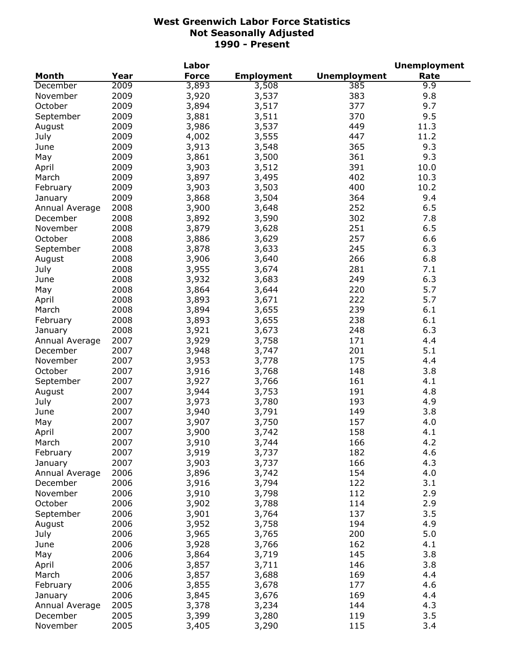|                |      | Labor        |                   |                     | <b>Unemployment</b> |
|----------------|------|--------------|-------------------|---------------------|---------------------|
| <b>Month</b>   | Year | <b>Force</b> | <b>Employment</b> | <b>Unemployment</b> | Rate                |
| December       | 2009 | 3,893        | 3,508             | 385                 | 9.9                 |
| November       | 2009 | 3,920        | 3,537             | 383                 | 9.8                 |
| October        | 2009 | 3,894        | 3,517             | 377                 | 9.7                 |
| September      | 2009 | 3,881        | 3,511             | 370                 | 9.5                 |
| August         | 2009 | 3,986        | 3,537             | 449                 | 11.3                |
| July           | 2009 | 4,002        | 3,555             | 447                 | 11.2                |
| June           | 2009 | 3,913        | 3,548             | 365                 | 9.3                 |
| May            | 2009 | 3,861        | 3,500             | 361                 | 9.3                 |
| April          | 2009 | 3,903        | 3,512             | 391                 | 10.0                |
| March          | 2009 | 3,897        | 3,495             | 402                 | 10.3                |
| February       | 2009 | 3,903        | 3,503             | 400                 | 10.2                |
| January        | 2009 | 3,868        | 3,504             | 364                 | 9.4                 |
| Annual Average | 2008 | 3,900        | 3,648             | 252                 | 6.5                 |
| December       | 2008 | 3,892        | 3,590             | 302                 | 7.8                 |
| November       | 2008 | 3,879        | 3,628             | 251                 | 6.5                 |
| October        | 2008 | 3,886        | 3,629             | 257                 | 6.6                 |
|                | 2008 |              |                   | 245                 | 6.3                 |
| September      |      | 3,878        | 3,633             |                     |                     |
| August         | 2008 | 3,906        | 3,640             | 266                 | 6.8                 |
| July           | 2008 | 3,955        | 3,674             | 281                 | 7.1                 |
| June           | 2008 | 3,932        | 3,683             | 249                 | 6.3                 |
| May            | 2008 | 3,864        | 3,644             | 220                 | 5.7                 |
| April          | 2008 | 3,893        | 3,671             | 222                 | 5.7                 |
| March          | 2008 | 3,894        | 3,655             | 239                 | 6.1                 |
| February       | 2008 | 3,893        | 3,655             | 238                 | 6.1                 |
| January        | 2008 | 3,921        | 3,673             | 248                 | 6.3                 |
| Annual Average | 2007 | 3,929        | 3,758             | 171                 | 4.4                 |
| December       | 2007 | 3,948        | 3,747             | 201                 | 5.1                 |
| November       | 2007 | 3,953        | 3,778             | 175                 | 4.4                 |
| October        | 2007 | 3,916        | 3,768             | 148                 | 3.8                 |
| September      | 2007 | 3,927        | 3,766             | 161                 | 4.1                 |
| August         | 2007 | 3,944        | 3,753             | 191                 | 4.8                 |
| July           | 2007 | 3,973        | 3,780             | 193                 | 4.9                 |
| June           | 2007 | 3,940        | 3,791             | 149                 | 3.8                 |
| May            | 2007 | 3,907        | 3,750             | 157                 | 4.0                 |
| April          | 2007 | 3,900        | 3,742             | 158                 | 4.1                 |
| March          | 2007 | 3,910        | 3,744             | 166                 | 4.2                 |
| February       | 2007 | 3,919        | 3,737             | 182                 | 4.6                 |
| January        | 2007 | 3,903        | 3,737             | 166                 | 4.3                 |
| Annual Average | 2006 | 3,896        | 3,742             | 154                 | 4.0                 |
| December       | 2006 | 3,916        | 3,794             | 122                 | 3.1                 |
| November       | 2006 | 3,910        | 3,798             | 112                 | 2.9                 |
| October        | 2006 | 3,902        | 3,788             | 114                 | 2.9                 |
| September      | 2006 | 3,901        | 3,764             | 137                 | 3.5                 |
| August         | 2006 | 3,952        | 3,758             | 194                 | 4.9                 |
| July           | 2006 | 3,965        | 3,765             | 200                 | 5.0                 |
| June           | 2006 | 3,928        | 3,766             | 162                 | 4.1                 |
| May            | 2006 | 3,864        | 3,719             | 145                 | 3.8                 |
| April          | 2006 | 3,857        | 3,711             | 146                 | 3.8                 |
| March          | 2006 | 3,857        | 3,688             | 169                 | 4.4                 |
| February       | 2006 | 3,855        | 3,678             | 177                 | 4.6                 |
| January        | 2006 | 3,845        | 3,676             | 169                 | 4.4                 |
| Annual Average | 2005 | 3,378        | 3,234             | 144                 | 4.3                 |
| December       | 2005 | 3,399        | 3,280             | 119                 | 3.5                 |
|                | 2005 |              |                   | 115                 | 3.4                 |
| November       |      | 3,405        | 3,290             |                     |                     |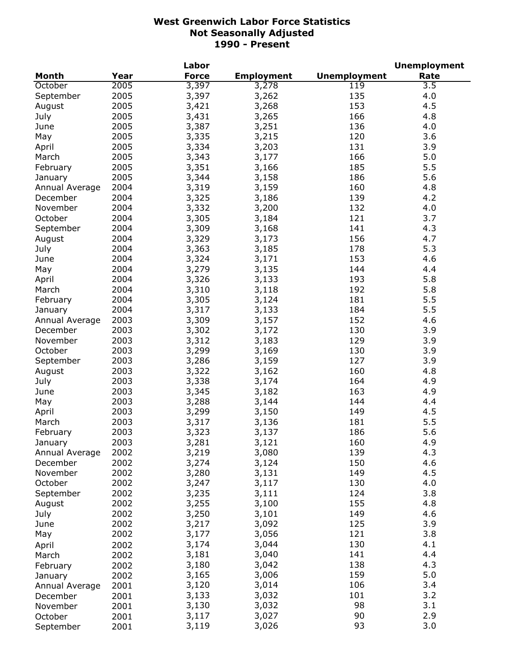|                |      | Labor        |                   |                     | <b>Unemployment</b> |
|----------------|------|--------------|-------------------|---------------------|---------------------|
| <b>Month</b>   | Year | <b>Force</b> | <b>Employment</b> | <b>Unemployment</b> | Rate                |
| October        | 2005 | 3,397        | 3,278             | 119                 | $3.\overline{5}$    |
| September      | 2005 | 3,397        | 3,262             | 135                 | 4.0                 |
| August         | 2005 | 3,421        | 3,268             | 153                 | 4.5                 |
| July           | 2005 | 3,431        | 3,265             | 166                 | 4.8                 |
| June           | 2005 | 3,387        | 3,251             | 136                 | 4.0                 |
| May            | 2005 | 3,335        | 3,215             | 120                 | 3.6                 |
| April          | 2005 | 3,334        | 3,203             | 131                 | 3.9                 |
| March          | 2005 | 3,343        | 3,177             | 166                 | 5.0                 |
| February       | 2005 | 3,351        | 3,166             | 185                 | 5.5                 |
| January        | 2005 | 3,344        | 3,158             | 186                 | 5.6                 |
| Annual Average | 2004 | 3,319        | 3,159             | 160                 | 4.8                 |
| December       | 2004 | 3,325        | 3,186             | 139                 | 4.2                 |
| November       | 2004 | 3,332        |                   | 132                 | 4.0                 |
|                |      |              | 3,200             |                     | 3.7                 |
| October        | 2004 | 3,305        | 3,184             | 121<br>141          |                     |
| September      | 2004 | 3,309        | 3,168             |                     | 4.3                 |
| August         | 2004 | 3,329        | 3,173             | 156                 | 4.7                 |
| July           | 2004 | 3,363        | 3,185             | 178                 | 5.3                 |
| June           | 2004 | 3,324        | 3,171             | 153                 | 4.6                 |
| May            | 2004 | 3,279        | 3,135             | 144                 | 4.4                 |
| April          | 2004 | 3,326        | 3,133             | 193                 | 5.8                 |
| March          | 2004 | 3,310        | 3,118             | 192                 | 5.8                 |
| February       | 2004 | 3,305        | 3,124             | 181                 | 5.5                 |
| January        | 2004 | 3,317        | 3,133             | 184                 | 5.5                 |
| Annual Average | 2003 | 3,309        | 3,157             | 152                 | 4.6                 |
| December       | 2003 | 3,302        | 3,172             | 130                 | 3.9                 |
| November       | 2003 | 3,312        | 3,183             | 129                 | 3.9                 |
| October        | 2003 | 3,299        | 3,169             | 130                 | 3.9                 |
| September      | 2003 | 3,286        | 3,159             | 127                 | 3.9                 |
| August         | 2003 | 3,322        | 3,162             | 160                 | 4.8                 |
| July           | 2003 | 3,338        | 3,174             | 164                 | 4.9                 |
| June           | 2003 | 3,345        | 3,182             | 163                 | 4.9                 |
| May            | 2003 | 3,288        | 3,144             | 144                 | 4.4                 |
| April          | 2003 | 3,299        | 3,150             | 149                 | 4.5                 |
| March          | 2003 | 3,317        | 3,136             | 181                 | 5.5                 |
| February       | 2003 | 3,323        | 3,137             | 186                 | 5.6                 |
| January        | 2003 | 3,281        | 3,121             | 160                 | 4.9                 |
| Annual Average | 2002 | 3,219        | 3,080             | 139                 | 4.3                 |
| December       | 2002 | 3,274        | 3,124             | 150                 | 4.6                 |
| November       | 2002 | 3,280        | 3,131             | 149                 | 4.5                 |
| October        | 2002 | 3,247        | 3,117             | 130                 | 4.0                 |
| September      | 2002 | 3,235        | 3,111             | 124                 | 3.8                 |
| August         | 2002 | 3,255        | 3,100             | 155                 | 4.8                 |
| July           | 2002 | 3,250        | 3,101             | 149                 | 4.6                 |
|                | 2002 |              |                   | 125                 | 3.9                 |
| June           |      | 3,217        | 3,092             |                     |                     |
| May            | 2002 | 3,177        | 3,056             | 121                 | 3.8                 |
| April          | 2002 | 3,174        | 3,044             | 130                 | 4.1                 |
| March          | 2002 | 3,181        | 3,040             | 141                 | 4.4                 |
| February       | 2002 | 3,180        | 3,042             | 138                 | 4.3                 |
| January        | 2002 | 3,165        | 3,006             | 159                 | 5.0                 |
| Annual Average | 2001 | 3,120        | 3,014             | 106                 | 3.4                 |
| December       | 2001 | 3,133        | 3,032             | 101                 | 3.2                 |
| November       | 2001 | 3,130        | 3,032             | 98                  | 3.1                 |
| October        | 2001 | 3,117        | 3,027             | 90                  | 2.9                 |
| September      | 2001 | 3,119        | 3,026             | 93                  | 3.0                 |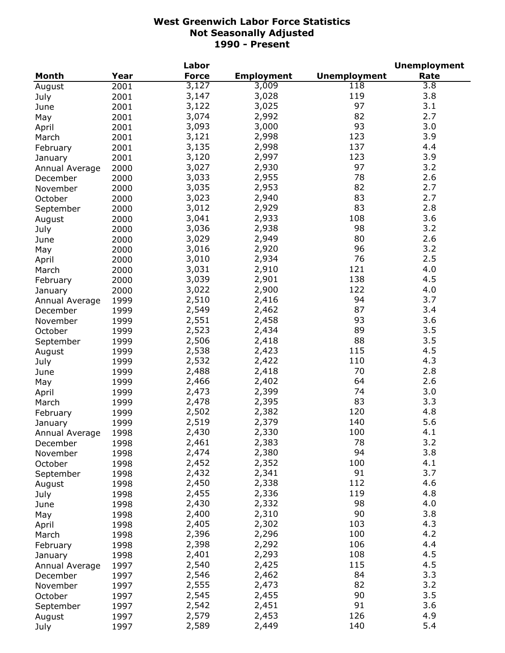|                     |              | Labor        |                   |                     | <b>Unemployment</b> |
|---------------------|--------------|--------------|-------------------|---------------------|---------------------|
| <b>Month</b>        | Year         | <b>Force</b> | <b>Employment</b> | <b>Unemployment</b> | Rate                |
| August              | 2001         | 3,127        | 3,009             | 118                 | $\overline{3.8}$    |
| July                | 2001         | 3,147        | 3,028             | 119                 | 3.8                 |
| June                | 2001         | 3,122        | 3,025             | 97                  | 3.1                 |
| May                 | 2001         | 3,074        | 2,992             | 82                  | 2.7                 |
| April               | 2001         | 3,093        | 3,000             | 93                  | 3.0                 |
| March               | 2001         | 3,121        | 2,998             | 123                 | 3.9                 |
| February            | 2001         | 3,135        | 2,998             | 137                 | 4.4                 |
| January             | 2001         | 3,120        | 2,997             | 123                 | 3.9                 |
|                     | 2000         | 3,027        | 2,930             | 97                  | 3.2                 |
| Annual Average      | 2000         | 3,033        | 2,955             | 78                  | 2.6                 |
| December            |              | 3,035        | 2,953             | 82                  | 2.7                 |
| November            | 2000         | 3,023        | 2,940             | 83                  | 2.7                 |
| October             | 2000         |              |                   | 83                  |                     |
| September           | 2000         | 3,012        | 2,929             |                     | 2.8                 |
| August              | 2000         | 3,041        | 2,933             | 108                 | 3.6                 |
| July                | 2000         | 3,036        | 2,938             | 98                  | 3.2                 |
| June                | 2000         | 3,029        | 2,949             | 80                  | 2.6                 |
| May                 | 2000         | 3,016        | 2,920             | 96                  | 3.2                 |
| April               | 2000         | 3,010        | 2,934             | 76                  | 2.5                 |
| March               | 2000         | 3,031        | 2,910             | 121                 | 4.0                 |
| February            | 2000         | 3,039        | 2,901             | 138                 | 4.5                 |
| January             | 2000         | 3,022        | 2,900             | 122                 | 4.0                 |
| Annual Average      | 1999         | 2,510        | 2,416             | 94                  | 3.7                 |
| December            | 1999         | 2,549        | 2,462             | 87                  | 3.4                 |
| November            | 1999         | 2,551        | 2,458             | 93                  | 3.6                 |
| October             | 1999         | 2,523        | 2,434             | 89                  | 3.5                 |
| September           | 1999         | 2,506        | 2,418             | 88                  | 3.5                 |
| August              | 1999         | 2,538        | 2,423             | 115                 | 4.5                 |
| July                | 1999         | 2,532        | 2,422             | 110                 | 4.3                 |
| June                | 1999         | 2,488        | 2,418             | 70                  | 2.8                 |
| May                 | 1999         | 2,466        | 2,402             | 64                  | 2.6                 |
| April               | 1999         | 2,473        | 2,399             | 74                  | 3.0                 |
| March               | 1999         | 2,478        | 2,395             | 83                  | 3.3                 |
| February            | 1999         | 2,502        | 2,382             | 120                 | 4.8                 |
| January             | 1999         | 2,519        | 2,379             | 140                 | 5.6                 |
| Annual Average      | 1998         | 2,430        | 2,330             | 100                 | 4.1                 |
|                     | 1998         | 2,461        | 2,383             | 78                  | 3.2                 |
| December            | 1998         | 2,474        | 2,380             | 94                  | 3.8                 |
| November<br>October |              | 2,452        | 2,352             | 100                 | 4.1                 |
|                     | 1998<br>1998 | 2,432        | 2,341             | 91                  | 3.7                 |
| September           |              | 2,450        |                   | 112                 | 4.6                 |
| August              | 1998         |              | 2,338             |                     |                     |
| July                | 1998         | 2,455        | 2,336             | 119                 | 4.8                 |
| June                | 1998         | 2,430        | 2,332             | 98                  | 4.0                 |
| May                 | 1998         | 2,400        | 2,310             | 90                  | 3.8                 |
| April               | 1998         | 2,405        | 2,302             | 103                 | 4.3                 |
| March               | 1998         | 2,396        | 2,296             | 100                 | 4.2                 |
| February            | 1998         | 2,398        | 2,292             | 106                 | 4.4                 |
| January             | 1998         | 2,401        | 2,293             | 108                 | 4.5                 |
| Annual Average      | 1997         | 2,540        | 2,425             | 115                 | 4.5                 |
| December            | 1997         | 2,546        | 2,462             | 84                  | 3.3                 |
| November            | 1997         | 2,555        | 2,473             | 82                  | 3.2                 |
| October             | 1997         | 2,545        | 2,455             | 90                  | 3.5                 |
| September           | 1997         | 2,542        | 2,451             | 91                  | 3.6                 |
| August              | 1997         | 2,579        | 2,453             | 126                 | 4.9                 |
| July                | 1997         | 2,589        | 2,449             | 140                 | 5.4                 |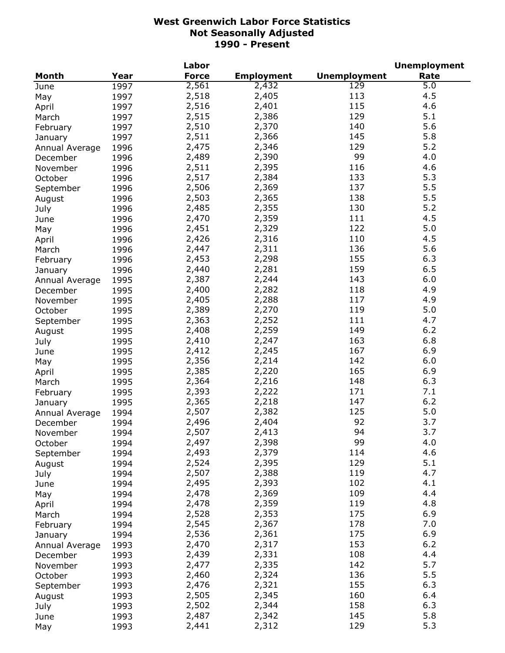|                     |      | Labor        |                   |                     | <b>Unemployment</b> |
|---------------------|------|--------------|-------------------|---------------------|---------------------|
| Month               | Year | <b>Force</b> | <b>Employment</b> | <b>Unemployment</b> | Rate                |
| June                | 1997 | 2,561        | 2,432             | 129                 | 5.0                 |
| May                 | 1997 | 2,518        | 2,405             | 113                 | 4.5                 |
| April               | 1997 | 2,516        | 2,401             | 115                 | 4.6                 |
| March               | 1997 | 2,515        | 2,386             | 129                 | 5.1                 |
| February            | 1997 | 2,510        | 2,370             | 140                 | 5.6                 |
| January             | 1997 | 2,511        | 2,366             | 145                 | 5.8                 |
| Annual Average      | 1996 | 2,475        | 2,346             | 129                 | 5.2                 |
| December            | 1996 | 2,489        | 2,390             | 99                  | 4.0                 |
| November            | 1996 | 2,511        | 2,395             | 116                 | 4.6                 |
|                     | 1996 | 2,517        | 2,384             | 133                 | 5.3                 |
| October             |      | 2,506        | 2,369             | 137                 | 5.5                 |
| September           | 1996 | 2,503        | 2,365             | 138                 | 5.5                 |
| August              | 1996 |              |                   |                     | 5.2                 |
| July                | 1996 | 2,485        | 2,355             | 130                 |                     |
| June                | 1996 | 2,470        | 2,359             | 111                 | 4.5                 |
| May                 | 1996 | 2,451        | 2,329             | 122                 | 5.0                 |
| April               | 1996 | 2,426        | 2,316             | 110                 | 4.5                 |
| March               | 1996 | 2,447        | 2,311             | 136                 | 5.6                 |
| February            | 1996 | 2,453        | 2,298             | 155                 | 6.3                 |
| January             | 1996 | 2,440        | 2,281             | 159                 | 6.5                 |
| Annual Average      | 1995 | 2,387        | 2,244             | 143                 | 6.0                 |
| December            | 1995 | 2,400        | 2,282             | 118                 | 4.9                 |
| November            | 1995 | 2,405        | 2,288             | 117                 | 4.9                 |
| October             | 1995 | 2,389        | 2,270             | 119                 | 5.0                 |
| September           | 1995 | 2,363        | 2,252             | 111                 | 4.7                 |
| August              | 1995 | 2,408        | 2,259             | 149                 | $6.2$               |
| July                | 1995 | 2,410        | 2,247             | 163                 | 6.8                 |
| June                | 1995 | 2,412        | 2,245             | 167                 | 6.9                 |
| May                 | 1995 | 2,356        | 2,214             | 142                 | 6.0                 |
| April               | 1995 | 2,385        | 2,220             | 165                 | 6.9                 |
| March               | 1995 | 2,364        | 2,216             | 148                 | 6.3                 |
| February            | 1995 | 2,393        | 2,222             | 171                 | 7.1                 |
| January             | 1995 | 2,365        | 2,218             | 147                 | 6.2                 |
| Annual Average      | 1994 | 2,507        | 2,382             | 125                 | 5.0                 |
| December            | 1994 | 2,496        | 2,404             | 92                  | 3.7                 |
| November            | 1994 | 2,507        | 2,413             | 94                  | 3.7                 |
|                     | 1994 | 2,497        | 2,398             | 99                  | 4.0                 |
| October             | 1994 | 2,493        | 2,379             | 114                 | 4.6                 |
| September<br>August |      | 2,524        | 2,395             | 129                 | 5.1                 |
|                     | 1994 | 2,507        | 2,388             | 119                 | 4.7                 |
| July                | 1994 |              |                   | 102                 | 4.1                 |
| June                | 1994 | 2,495        | 2,393             | 109                 | 4.4                 |
| May                 | 1994 | 2,478        | 2,369             |                     |                     |
| April               | 1994 | 2,478        | 2,359             | 119                 | 4.8                 |
| March               | 1994 | 2,528        | 2,353             | 175                 | 6.9                 |
| February            | 1994 | 2,545        | 2,367             | 178                 | 7.0                 |
| January             | 1994 | 2,536        | 2,361             | 175                 | 6.9                 |
| Annual Average      | 1993 | 2,470        | 2,317             | 153                 | $6.2$               |
| December            | 1993 | 2,439        | 2,331             | 108                 | 4.4                 |
| November            | 1993 | 2,477        | 2,335             | 142                 | 5.7                 |
| October             | 1993 | 2,460        | 2,324             | 136                 | 5.5                 |
| September           | 1993 | 2,476        | 2,321             | 155                 | 6.3                 |
| August              | 1993 | 2,505        | 2,345             | 160                 | 6.4                 |
| July                | 1993 | 2,502        | 2,344             | 158                 | 6.3                 |
| June                | 1993 | 2,487        | 2,342             | 145                 | 5.8                 |
| May                 | 1993 | 2,441        | 2,312             | 129                 | 5.3                 |